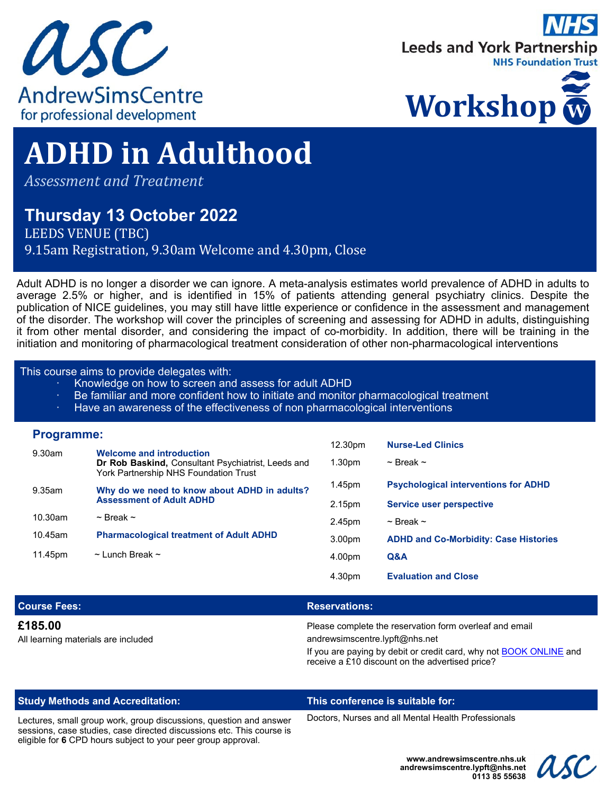





# **ADHD in Adulthood**

*Assessment and Treatment*

# **Thursday 13 October 2022**

LEEDS VENUE (TBC) 9.15am Registration, 9.30am Welcome and 4.30pm, Close

Adult ADHD is no longer a disorder we can ignore. A meta-analysis estimates world prevalence of ADHD in adults to average 2.5% or higher, and is identified in 15% of patients attending general psychiatry clinics. Despite the publication of NICE guidelines, you may still have little experience or confidence in the assessment and management of the disorder. The workshop will cover the principles of screening and assessing for ADHD in adults, distinguishing it from other mental disorder, and considering the impact of co-morbidity. In addition, there will be training in the initiation and monitoring of pharmacological treatment consideration of other non-pharmacological interventions

#### This course aims to provide delegates with:

- Knowledge on how to screen and assess for adult ADHD
- Be familiar and more confident how to initiate and monitor pharmacological treatment
- · Have an awareness of the effectiveness of non pharmacological interventions

#### **Programme:**

|         |                                                                                                                                | 12.30pm            | <b>Nurse-Led Clinics</b>                     |
|---------|--------------------------------------------------------------------------------------------------------------------------------|--------------------|----------------------------------------------|
| 9.30am  | <b>Welcome and introduction</b><br>Dr Rob Baskind, Consultant Psychiatrist, Leeds and<br>York Partnership NHS Foundation Trust | 1.30 <sub>pm</sub> | $\sim$ Break $\sim$                          |
| 9.35am  | Why do we need to know about ADHD in adults?<br><b>Assessment of Adult ADHD</b>                                                | 1.45pm             | <b>Psychological interventions for ADHD</b>  |
|         |                                                                                                                                | 2.15pm             | <b>Service user perspective</b>              |
| 10.30am | $\sim$ Break $\sim$                                                                                                            | 2.45pm             | $\sim$ Break $\sim$                          |
| 10.45am | <b>Pharmacological treatment of Adult ADHD</b>                                                                                 | 3.00 <sub>pm</sub> | <b>ADHD and Co-Morbidity: Case Histories</b> |
| 11.45pm | $\sim$ Lunch Break $\sim$                                                                                                      | 4.00pm             | Q&A                                          |
|         |                                                                                                                                | 4.30pm             | <b>Evaluation and Close</b>                  |

| <b>Course Fees:</b>                            | <b>Reservations:</b>                                                                                                         |
|------------------------------------------------|------------------------------------------------------------------------------------------------------------------------------|
| £185,00<br>All learning materials are included | Please complete the reservation form overleaf and email<br>andrewsimscentre.lypft@nhs.net                                    |
|                                                | If you are paying by debit or credit card, why not <b>BOOK ONLINE</b> and<br>receive a £10 discount on the advertised price? |

#### **Study Methods and Accreditation: This conference is suitable for:**

Lectures, small group work, group discussions, question and answer sessions, case studies, case directed discussions etc. This course is eligible for **6** CPD hours subject to your peer group approval.

Doctors, Nurses and all Mental Health Professionals

**www.andrewsimscentre.nhs.uk andrewsimscentre.lypft@nhs.net 0113 85 55638**